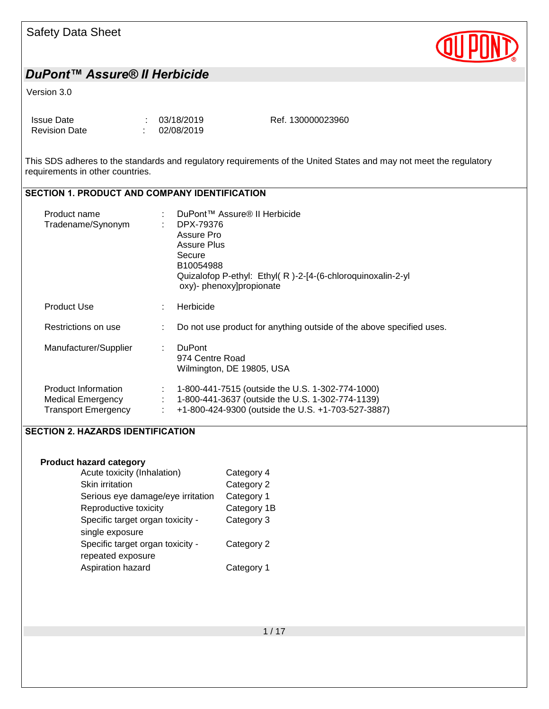

#### Version 3.0

| Issue Date           | : 03/18/2019 | Ref. 130000023960 |
|----------------------|--------------|-------------------|
| <b>Revision Date</b> | 102/08/2019  |                   |

This SDS adheres to the standards and regulatory requirements of the United States and may not meet the regulatory requirements in other countries.

## SECTION 1. PRODUCT AND COMPANY IDENTIFICATION

| Product name<br>Tradename/Synonym                                      |   | DuPont™ Assure® II Herbicide<br>DPX-79376<br>Assure Pro<br>Assure Plus<br>Secure<br>B10054988<br>Quizalofop P-ethyl: Ethyl(R)-2-[4-(6-chloroquinoxalin-2-yl<br>oxy)- phenoxy]propionate |
|------------------------------------------------------------------------|---|-----------------------------------------------------------------------------------------------------------------------------------------------------------------------------------------|
| <b>Product Use</b>                                                     | ÷ | Herbicide                                                                                                                                                                               |
| Restrictions on use                                                    | ÷ | Do not use product for anything outside of the above specified uses.                                                                                                                    |
| Manufacturer/Supplier                                                  | ÷ | <b>DuPont</b><br>974 Centre Road<br>Wilmington, DE 19805, USA                                                                                                                           |
| Product Information<br>Medical Emergency<br><b>Transport Emergency</b> | ÷ | 1-800-441-7515 (outside the U.S. 1-302-774-1000)<br>1-800-441-3637 (outside the U.S. 1-302-774-1139)<br>+1-800-424-9300 (outside the U.S. +1-703-527-3887)                              |

### SECTION 2. HAZARDS IDENTIFICATION

#### **Product hazard category**

| Acute toxicity (Inhalation)       | Category 4  |
|-----------------------------------|-------------|
| Skin irritation                   | Category 2  |
| Serious eye damage/eye irritation | Category 1  |
| Reproductive toxicity             | Category 1B |
| Specific target organ toxicity -  | Category 3  |
| single exposure                   |             |
| Specific target organ toxicity -  | Category 2  |
| repeated exposure                 |             |
| Aspiration hazard                 | Category 1  |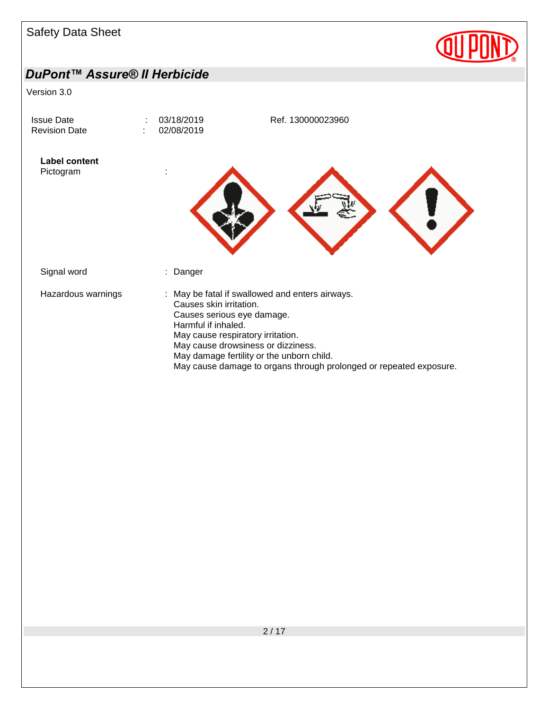

May cause damage to organs through prolonged or repeated exposure.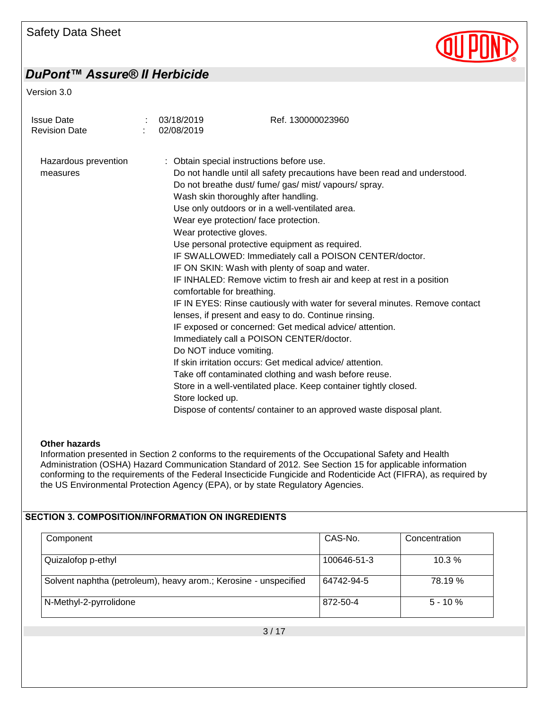

Version 3.0

| <b>Issue Date</b><br><b>Revision Date</b> | 03/18/2019<br>02/08/2019                                                                                                                                                                                                                                                                                                          | Ref. 130000023960                                                                                                                                                                                                                                                                                                                                                                                                                                                                                                                                                                                                                                                                                                                                                                                                                           |
|-------------------------------------------|-----------------------------------------------------------------------------------------------------------------------------------------------------------------------------------------------------------------------------------------------------------------------------------------------------------------------------------|---------------------------------------------------------------------------------------------------------------------------------------------------------------------------------------------------------------------------------------------------------------------------------------------------------------------------------------------------------------------------------------------------------------------------------------------------------------------------------------------------------------------------------------------------------------------------------------------------------------------------------------------------------------------------------------------------------------------------------------------------------------------------------------------------------------------------------------------|
| Hazardous prevention<br>measures          | : Obtain special instructions before use.<br>Wash skin thoroughly after handling.<br>Use only outdoors or in a well-ventilated area.<br>Wear eye protection/ face protection.<br>Wear protective gloves.<br>comfortable for breathing.<br>Immediately call a POISON CENTER/doctor.<br>Do NOT induce vomiting.<br>Store locked up. | Do not handle until all safety precautions have been read and understood.<br>Do not breathe dust/ fume/ gas/ mist/ vapours/ spray.<br>Use personal protective equipment as required.<br>IF SWALLOWED: Immediately call a POISON CENTER/doctor.<br>IF ON SKIN: Wash with plenty of soap and water.<br>IF INHALED: Remove victim to fresh air and keep at rest in a position<br>IF IN EYES: Rinse cautiously with water for several minutes. Remove contact<br>lenses, if present and easy to do. Continue rinsing.<br>IF exposed or concerned: Get medical advice/attention.<br>If skin irritation occurs: Get medical advice/attention.<br>Take off contaminated clothing and wash before reuse.<br>Store in a well-ventilated place. Keep container tightly closed.<br>Dispose of contents/ container to an approved waste disposal plant. |

#### **Other hazards**

Information presented in Section 2 conforms to the requirements of the Occupational Safety and Health Administration (OSHA) Hazard Communication Standard of 2012. See Section 15 for applicable information conforming to the requirements of the Federal Insecticide Fungicide and Rodenticide Act (FIFRA), as required by the US Environmental Protection Agency (EPA), or by state Regulatory Agencies.

#### SECTION 3. COMPOSITION/INFORMATION ON INGREDIENTS

| Component                                                        | CAS-No.     | Concentration |
|------------------------------------------------------------------|-------------|---------------|
| Quizalofop p-ethyl                                               | 100646-51-3 | $10.3\%$      |
| Solvent naphtha (petroleum), heavy arom.; Kerosine - unspecified | 64742-94-5  | 78.19 %       |
| N-Methyl-2-pyrrolidone                                           | 872-50-4    | $5 - 10 \%$   |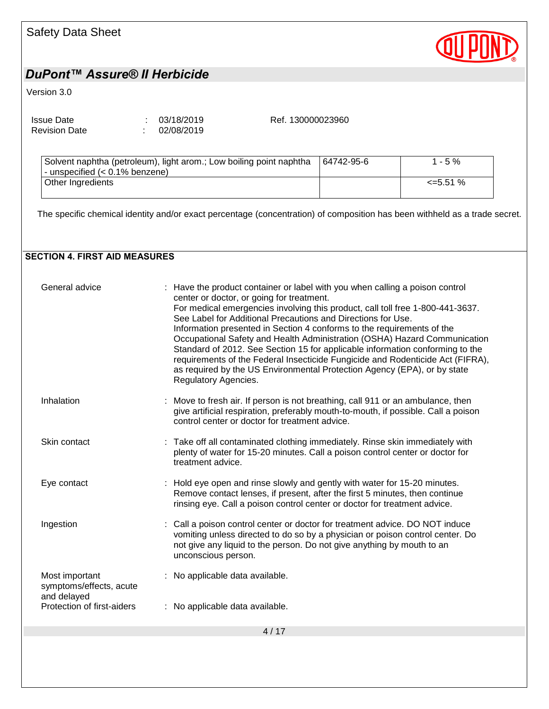| Safety Data Sheet            |
|------------------------------|
| DuPont™ Assure® II Herbicide |

Version 3.0

| <b>Issue Date</b>    | : 03/18/2019 |
|----------------------|--------------|
| <b>Revision Date</b> | 02/08/2019   |

Ref. 130000023960

**QUPI** 

| Solvent naphtha (petroleum), light arom.; Low boiling point naphtha<br>- unspecified (< 0.1% benzene) | 64742-95-6 | $1 - 5 \%$ |
|-------------------------------------------------------------------------------------------------------|------------|------------|
| Other Ingredients                                                                                     |            | <=5.51 %   |

The specific chemical identity and/or exact percentage (concentration) of composition has been withheld as a trade secret.

### SECTION 4. FIRST AID MEASURES

| General advice                                           | : Have the product container or label with you when calling a poison control<br>center or doctor, or going for treatment.<br>For medical emergencies involving this product, call toll free 1-800-441-3637.<br>See Label for Additional Precautions and Directions for Use.<br>Information presented in Section 4 conforms to the requirements of the<br>Occupational Safety and Health Administration (OSHA) Hazard Communication<br>Standard of 2012. See Section 15 for applicable information conforming to the<br>requirements of the Federal Insecticide Fungicide and Rodenticide Act (FIFRA),<br>as required by the US Environmental Protection Agency (EPA), or by state<br>Regulatory Agencies. |
|----------------------------------------------------------|-----------------------------------------------------------------------------------------------------------------------------------------------------------------------------------------------------------------------------------------------------------------------------------------------------------------------------------------------------------------------------------------------------------------------------------------------------------------------------------------------------------------------------------------------------------------------------------------------------------------------------------------------------------------------------------------------------------|
| Inhalation                                               | Move to fresh air. If person is not breathing, call 911 or an ambulance, then<br>give artificial respiration, preferably mouth-to-mouth, if possible. Call a poison<br>control center or doctor for treatment advice.                                                                                                                                                                                                                                                                                                                                                                                                                                                                                     |
| Skin contact                                             | : Take off all contaminated clothing immediately. Rinse skin immediately with<br>plenty of water for 15-20 minutes. Call a poison control center or doctor for<br>treatment advice.                                                                                                                                                                                                                                                                                                                                                                                                                                                                                                                       |
| Eye contact                                              | : Hold eye open and rinse slowly and gently with water for 15-20 minutes.<br>Remove contact lenses, if present, after the first 5 minutes, then continue<br>rinsing eye. Call a poison control center or doctor for treatment advice.                                                                                                                                                                                                                                                                                                                                                                                                                                                                     |
| Ingestion                                                | : Call a poison control center or doctor for treatment advice. DO NOT induce<br>vomiting unless directed to do so by a physician or poison control center. Do<br>not give any liquid to the person. Do not give anything by mouth to an<br>unconscious person.                                                                                                                                                                                                                                                                                                                                                                                                                                            |
| Most important<br>symptoms/effects, acute<br>and delayed | : No applicable data available.                                                                                                                                                                                                                                                                                                                                                                                                                                                                                                                                                                                                                                                                           |
| Protection of first-aiders                               | : No applicable data available.                                                                                                                                                                                                                                                                                                                                                                                                                                                                                                                                                                                                                                                                           |
|                                                          | 4/17                                                                                                                                                                                                                                                                                                                                                                                                                                                                                                                                                                                                                                                                                                      |
|                                                          |                                                                                                                                                                                                                                                                                                                                                                                                                                                                                                                                                                                                                                                                                                           |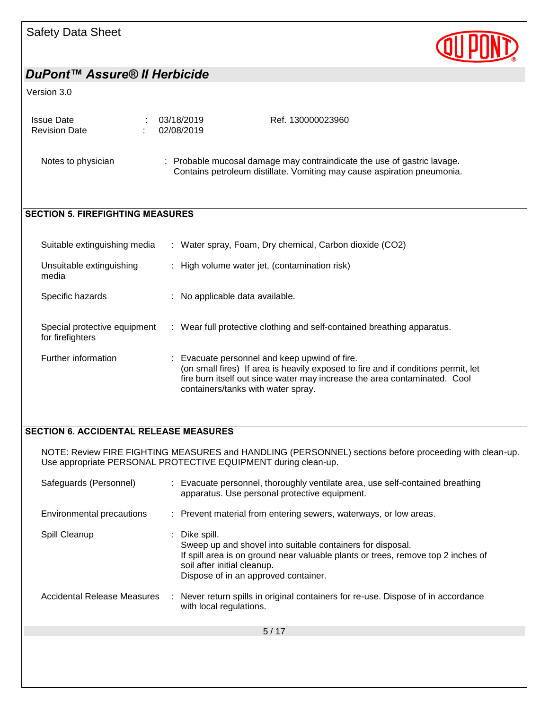

#### Version 3.0

| <b>Issue Date</b>    | : 03/18/2019 |
|----------------------|--------------|
| <b>Revision Date</b> | : 02/08/2019 |

Ref. 130000023960

Notes to physician : Probable mucosal damage may contraindicate the use of gastric lavage. Contains petroleum distillate. Vomiting may cause aspiration pneumonia.

### SECTION 5. FIREFIGHTING MEASURES

| Suitable extinguishing media                     | : Water spray, Foam, Dry chemical, Carbon dioxide (CO2)                                                                                                                                                                                               |
|--------------------------------------------------|-------------------------------------------------------------------------------------------------------------------------------------------------------------------------------------------------------------------------------------------------------|
| Unsuitable extinguishing<br>media                | : High volume water jet, (contamination risk)                                                                                                                                                                                                         |
| Specific hazards                                 | : No applicable data available.                                                                                                                                                                                                                       |
| Special protective equipment<br>for firefighters | : Wear full protective clothing and self-contained breathing apparatus.                                                                                                                                                                               |
| Further information                              | : Evacuate personnel and keep upwind of fire.<br>(on small fires) If area is heavily exposed to fire and if conditions permit, let<br>fire burn itself out since water may increase the area contaminated. Cool<br>containers/tanks with water spray. |

#### SECTION 6. ACCIDENTAL RELEASE MEASURES

NOTE: Review FIRE FIGHTING MEASURES and HANDLING (PERSONNEL) sections before proceeding with clean-up. Use appropriate PERSONAL PROTECTIVE EQUIPMENT during clean-up.

| Safeguards (Personnel)      | : Evacuate personnel, thoroughly ventilate area, use self-contained breathing<br>apparatus. Use personal protective equipment.                                                                                                       |
|-----------------------------|--------------------------------------------------------------------------------------------------------------------------------------------------------------------------------------------------------------------------------------|
| Environmental precautions   | : Prevent material from entering sewers, waterways, or low areas.                                                                                                                                                                    |
| Spill Cleanup               | Dike spill.<br>Sweep up and shovel into suitable containers for disposal.<br>If spill area is on ground near valuable plants or trees, remove top 2 inches of<br>soil after initial cleanup.<br>Dispose of in an approved container. |
| Accidental Release Measures | : Never return spills in original containers for re-use. Dispose of in accordance<br>with local regulations.                                                                                                                         |
|                             | 5/17                                                                                                                                                                                                                                 |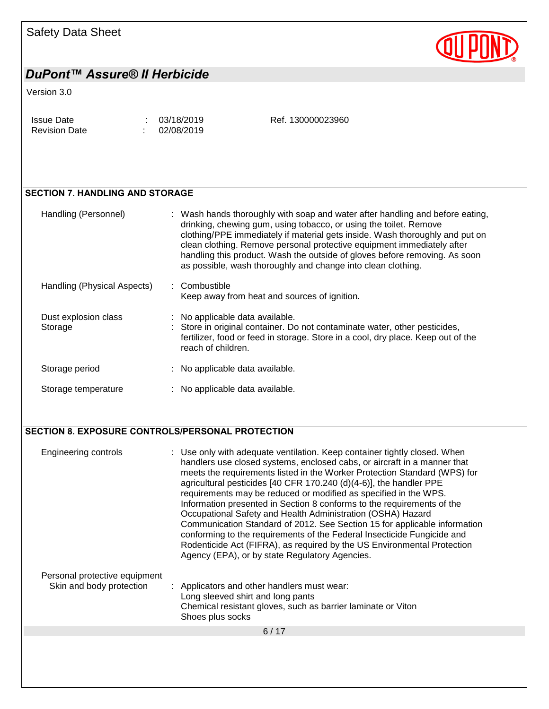| Safety Data Sheet |  |  |
|-------------------|--|--|
|-------------------|--|--|



#### Version 3.0

| <b>Issue Date</b>    | : 03/18/2019 | Ref. 130000023960 |
|----------------------|--------------|-------------------|
| <b>Revision Date</b> | 102/08/2019  |                   |

### SECTION 7. HANDLING AND STORAGE

| Handling (Personnel)            | : Wash hands thoroughly with soap and water after handling and before eating,<br>drinking, chewing gum, using tobacco, or using the toilet. Remove<br>clothing/PPE immediately if material gets inside. Wash thoroughly and put on<br>clean clothing. Remove personal protective equipment immediately after<br>handling this product. Wash the outside of gloves before removing. As soon<br>as possible, wash thoroughly and change into clean clothing. |  |
|---------------------------------|------------------------------------------------------------------------------------------------------------------------------------------------------------------------------------------------------------------------------------------------------------------------------------------------------------------------------------------------------------------------------------------------------------------------------------------------------------|--|
| Handling (Physical Aspects)     | : Combustible<br>Keep away from heat and sources of ignition.                                                                                                                                                                                                                                                                                                                                                                                              |  |
| Dust explosion class<br>Storage | : No applicable data available.<br>: Store in original container. Do not contaminate water, other pesticides,<br>fertilizer, food or feed in storage. Store in a cool, dry place. Keep out of the<br>reach of children.                                                                                                                                                                                                                                    |  |
| Storage period                  | : No applicable data available.                                                                                                                                                                                                                                                                                                                                                                                                                            |  |
| Storage temperature             | : No applicable data available.                                                                                                                                                                                                                                                                                                                                                                                                                            |  |

#### SECTION 8. EXPOSURE CONTROLS/PERSONAL PROTECTION

| Engineering controls<br>Personal protective equipment<br>Skin and body protection | : Use only with adequate ventilation. Keep container tightly closed. When<br>handlers use closed systems, enclosed cabs, or aircraft in a manner that<br>meets the requirements listed in the Worker Protection Standard (WPS) for<br>agricultural pesticides [40 CFR 170.240 (d)(4-6)], the handler PPE<br>requirements may be reduced or modified as specified in the WPS.<br>Information presented in Section 8 conforms to the requirements of the<br>Occupational Safety and Health Administration (OSHA) Hazard<br>Communication Standard of 2012. See Section 15 for applicable information<br>conforming to the requirements of the Federal Insecticide Fungicide and<br>Rodenticide Act (FIFRA), as required by the US Environmental Protection<br>Agency (EPA), or by state Regulatory Agencies.<br>: Applicators and other handlers must wear: |
|-----------------------------------------------------------------------------------|-----------------------------------------------------------------------------------------------------------------------------------------------------------------------------------------------------------------------------------------------------------------------------------------------------------------------------------------------------------------------------------------------------------------------------------------------------------------------------------------------------------------------------------------------------------------------------------------------------------------------------------------------------------------------------------------------------------------------------------------------------------------------------------------------------------------------------------------------------------|
|                                                                                   | Long sleeved shirt and long pants<br>Chemical resistant gloves, such as barrier laminate or Viton<br>Shoes plus socks                                                                                                                                                                                                                                                                                                                                                                                                                                                                                                                                                                                                                                                                                                                                     |
|                                                                                   | 6/17                                                                                                                                                                                                                                                                                                                                                                                                                                                                                                                                                                                                                                                                                                                                                                                                                                                      |
|                                                                                   |                                                                                                                                                                                                                                                                                                                                                                                                                                                                                                                                                                                                                                                                                                                                                                                                                                                           |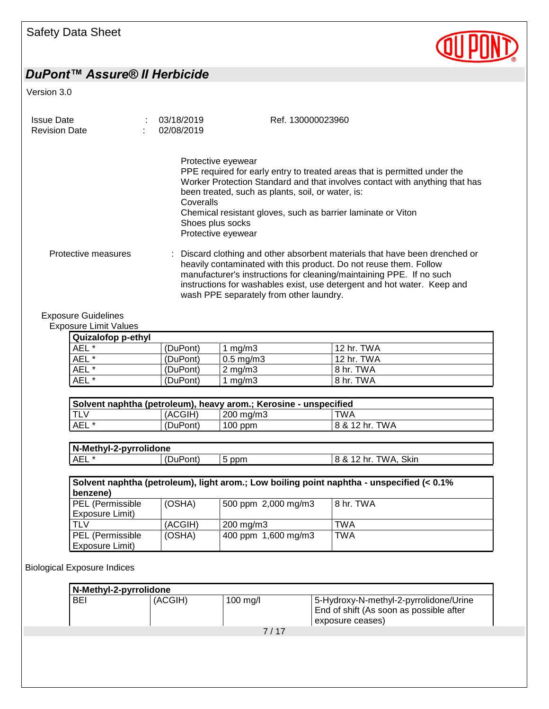

Version 3.0

| <b>Issue Date</b><br><b>Revision Date</b>                  | 03/18/2019<br>02/08/2019                                                  | Ref. 130000023960                                                                                                                                                                                                                                                                                 |
|------------------------------------------------------------|---------------------------------------------------------------------------|---------------------------------------------------------------------------------------------------------------------------------------------------------------------------------------------------------------------------------------------------------------------------------------------------|
|                                                            | Protective eyewear<br>Coveralls<br>Shoes plus socks<br>Protective eyewear | PPE required for early entry to treated areas that is permitted under the<br>Worker Protection Standard and that involves contact with anything that has<br>been treated, such as plants, soil, or water, is:<br>Chemical resistant gloves, such as barrier laminate or Viton                     |
| Protective measures                                        | wash PPE separately from other laundry.                                   | Discard clothing and other absorbent materials that have been drenched or<br>heavily contaminated with this product. Do not reuse them. Follow<br>manufacturer's instructions for cleaning/maintaining PPE. If no such<br>instructions for washables exist, use detergent and hot water. Keep and |
| <b>Exposure Guidelines</b><br><b>Exposure Limit Values</b> |                                                                           |                                                                                                                                                                                                                                                                                                   |

| <b>Quizalofop p-ethyl</b> |          |                      |            |
|---------------------------|----------|----------------------|------------|
| AEL *                     | (DuPont) | $\lfloor$ mg/m3      | 12 hr. TWA |
| AEL *                     | (DuPont) | $0.5 \text{ mg/m}$ 3 | 12 hr. TWA |
| AEL *                     | (DuPont) | $2 \text{ mg/m}$     | 8 hr. TWA  |
| AEL *                     | (DuPont) | mg/m3                | 8 hr. TWA  |

| Solvent naphtha (petroleum), heavy arom.; Kerosine - unspecified |          |                    |                |
|------------------------------------------------------------------|----------|--------------------|----------------|
| <b>ITLV</b>                                                      | (ACGIH)  | $200 \text{ mg/m}$ | TWA            |
| AEL *                                                            | (DuPont) | $100$ ppm          | 8 & 12 hr. TWA |

| N-Methyl-2-pyrrolidone |              |          |                                  |
|------------------------|--------------|----------|----------------------------------|
| <b>AEL</b>             | ont)<br>.DuP | ppm<br>ັ | Skin<br>TWA<br>o<br>hr<br>$\sim$ |

| Solvent naphtha (petroleum), light arom.; Low boiling point naphtha - unspecified (< 0.1%<br>benzene) |         |                      |           |  |
|-------------------------------------------------------------------------------------------------------|---------|----------------------|-----------|--|
| PEL (Permissible<br>Exposure Limit)                                                                   | (OSHA)  | 500 ppm 2,000 mg/m3  | 8 hr. TWA |  |
| <b>TLV</b>                                                                                            | (ACGIH) | $200 \text{ mg/m}$ 3 | TWA       |  |
| PEL (Permissible<br>Exposure Limit)                                                                   | (OSHA)  | 400 ppm 1,600 mg/m3  | TWA       |  |

Biological Exposure Indices

| 7/17 |
|------|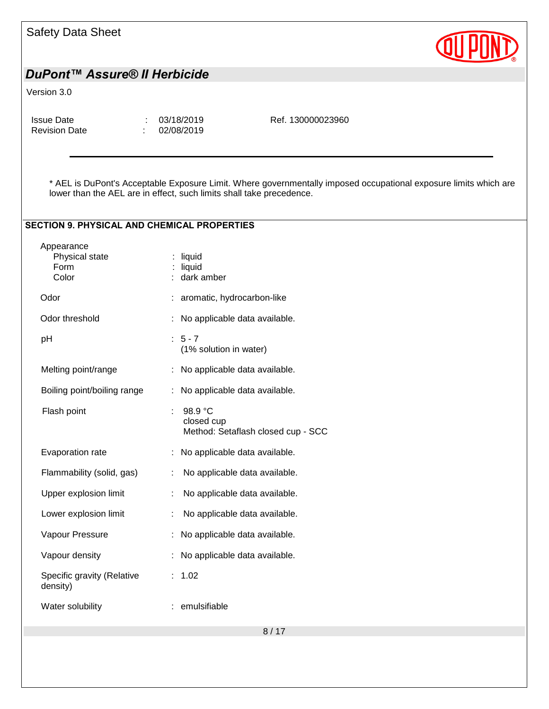| <b>Safety Data Sheet</b>                                             |                                                             |                                                                                                                  |  |
|----------------------------------------------------------------------|-------------------------------------------------------------|------------------------------------------------------------------------------------------------------------------|--|
| DuPont™ Assure® II Herbicide                                         |                                                             |                                                                                                                  |  |
| Version 3.0                                                          |                                                             |                                                                                                                  |  |
| <b>Issue Date</b><br><b>Revision Date</b>                            | 03/18/2019<br>02/08/2019                                    | Ref. 130000023960                                                                                                |  |
| lower than the AEL are in effect, such limits shall take precedence. |                                                             | * AEL is DuPont's Acceptable Exposure Limit. Where governmentally imposed occupational exposure limits which are |  |
| <b>SECTION 9. PHYSICAL AND CHEMICAL PROPERTIES</b>                   |                                                             |                                                                                                                  |  |
| Appearance<br>Physical state<br>Form<br>Color                        | $:$ liquid<br>liquid<br>dark amber                          |                                                                                                                  |  |
| Odor                                                                 | aromatic, hydrocarbon-like                                  |                                                                                                                  |  |
| Odor threshold                                                       | No applicable data available.                               |                                                                                                                  |  |
| pH                                                                   | $: 5 - 7$<br>(1% solution in water)                         |                                                                                                                  |  |
| Melting point/range                                                  | : No applicable data available.                             |                                                                                                                  |  |
| Boiling point/boiling range                                          | No applicable data available.                               |                                                                                                                  |  |
| Flash point                                                          | 98.9 °C<br>closed cup<br>Method: Setaflash closed cup - SCC |                                                                                                                  |  |
| Evaporation rate                                                     | No applicable data available.                               |                                                                                                                  |  |
| Flammability (solid, gas)                                            | No applicable data available.<br>÷                          |                                                                                                                  |  |
| Upper explosion limit                                                | No applicable data available.                               |                                                                                                                  |  |
| Lower explosion limit                                                | No applicable data available.                               |                                                                                                                  |  |
| Vapour Pressure                                                      | No applicable data available.                               |                                                                                                                  |  |
| Vapour density                                                       | : No applicable data available.                             |                                                                                                                  |  |
| Specific gravity (Relative<br>density)                               | : 1.02                                                      |                                                                                                                  |  |
| Water solubility                                                     | : emulsifiable                                              |                                                                                                                  |  |
|                                                                      |                                                             | 8/17                                                                                                             |  |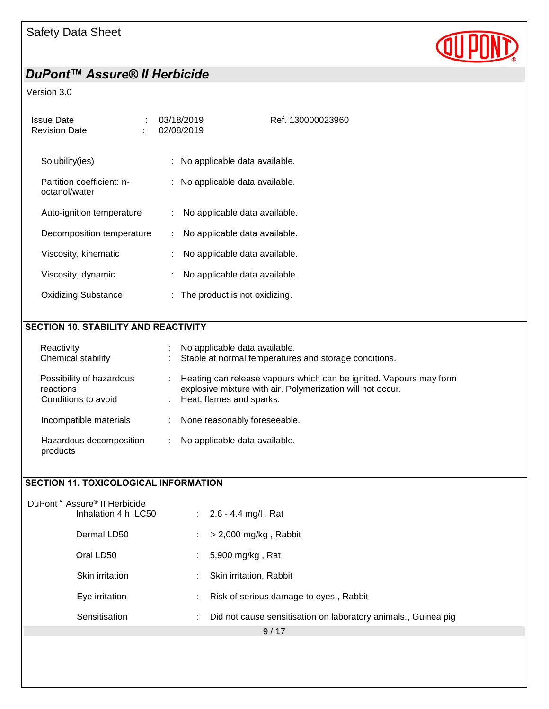

#### Version 3.0

| Issue Date<br><b>Revision Date</b>         | 03/18/2019<br>02/08/2019            | Ref. 130000023960 |
|--------------------------------------------|-------------------------------------|-------------------|
| Solubility(ies)                            | : No applicable data available.     |                   |
| Partition coefficient: n-<br>octanol/water | : No applicable data available.     |                   |
| Auto-ignition temperature                  | No applicable data available.<br>t. |                   |
| Decomposition temperature                  | No applicable data available.<br>÷. |                   |
| Viscosity, kinematic                       | No applicable data available.       |                   |
| Viscosity, dynamic                         | No applicable data available.       |                   |
| Oxidizing Substance                        | $:$ The product is not oxidizing.   |                   |

#### SECTION 10. STABILITY AND REACTIVITY

| Reactivity<br>Chemical stability                             | No applicable data available.<br>: Stable at normal temperatures and storage conditions.                                                                       |  |
|--------------------------------------------------------------|----------------------------------------------------------------------------------------------------------------------------------------------------------------|--|
| Possibility of hazardous<br>reactions<br>Conditions to avoid | Heating can release vapours which can be ignited. Vapours may form<br>explosive mixture with air. Polymerization will not occur.<br>: Heat, flames and sparks. |  |
| Incompatible materials                                       | None reasonably foreseeable.                                                                                                                                   |  |
| Hazardous decomposition<br>products                          | No applicable data available.                                                                                                                                  |  |

### SECTION 11. TOXICOLOGICAL INFORMATION

| DuPont <sup>™</sup> Assure <sup>®</sup> II Herbicide<br>Inhalation 4 h LC50 |    | : $2.6 - 4.4$ mg/l, Rat                                        |
|-----------------------------------------------------------------------------|----|----------------------------------------------------------------|
| Dermal LD50                                                                 | ÷  | $>$ 2,000 mg/kg, Rabbit                                        |
| Oral LD50                                                                   | ÷. | 5,900 mg/kg, Rat                                               |
| Skin irritation                                                             |    | Skin irritation, Rabbit                                        |
| Eye irritation                                                              | t. | Risk of serious damage to eyes., Rabbit                        |
| Sensitisation                                                               | ÷  | Did not cause sensitisation on laboratory animals., Guinea pig |
|                                                                             |    | 9/17                                                           |
|                                                                             |    |                                                                |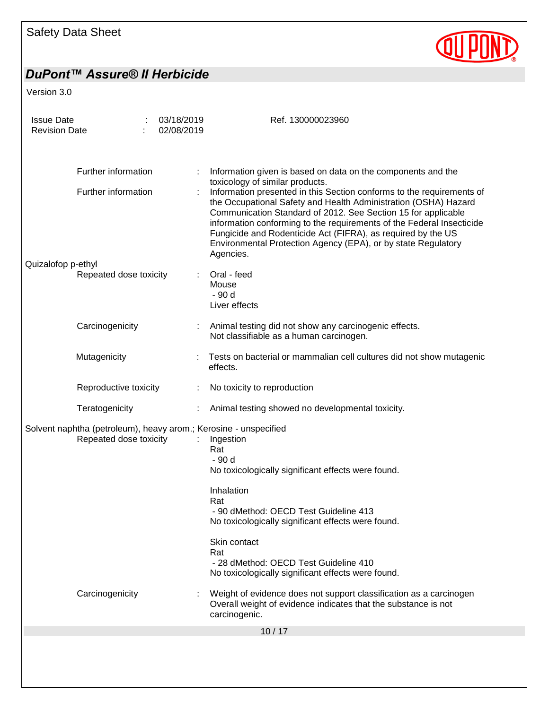

| <b>Issue Date</b><br><b>Revision Date</b> |                        | 03/18/2019<br>02/08/2019 | Ref. 130000023960                                                                                                                                                                                                                                                                                                                                                                                                                |
|-------------------------------------------|------------------------|--------------------------|----------------------------------------------------------------------------------------------------------------------------------------------------------------------------------------------------------------------------------------------------------------------------------------------------------------------------------------------------------------------------------------------------------------------------------|
|                                           |                        |                          |                                                                                                                                                                                                                                                                                                                                                                                                                                  |
|                                           | Further information    |                          | Information given is based on data on the components and the<br>toxicology of similar products.                                                                                                                                                                                                                                                                                                                                  |
|                                           | Further information    |                          | Information presented in this Section conforms to the requirements of<br>the Occupational Safety and Health Administration (OSHA) Hazard<br>Communication Standard of 2012. See Section 15 for applicable<br>information conforming to the requirements of the Federal Insecticide<br>Fungicide and Rodenticide Act (FIFRA), as required by the US<br>Environmental Protection Agency (EPA), or by state Regulatory<br>Agencies. |
| Quizalofop p-ethyl                        | Repeated dose toxicity |                          | Oral - feed                                                                                                                                                                                                                                                                                                                                                                                                                      |
|                                           |                        |                          | Mouse                                                                                                                                                                                                                                                                                                                                                                                                                            |
|                                           |                        |                          | - 90 d                                                                                                                                                                                                                                                                                                                                                                                                                           |
|                                           |                        |                          | Liver effects                                                                                                                                                                                                                                                                                                                                                                                                                    |
|                                           | Carcinogenicity        |                          | Animal testing did not show any carcinogenic effects.<br>Not classifiable as a human carcinogen.                                                                                                                                                                                                                                                                                                                                 |
|                                           | Mutagenicity           |                          | Tests on bacterial or mammalian cell cultures did not show mutagenic<br>effects.                                                                                                                                                                                                                                                                                                                                                 |
|                                           | Reproductive toxicity  |                          | No toxicity to reproduction                                                                                                                                                                                                                                                                                                                                                                                                      |
|                                           | Teratogenicity         |                          | Animal testing showed no developmental toxicity.                                                                                                                                                                                                                                                                                                                                                                                 |
|                                           | Repeated dose toxicity |                          | Solvent naphtha (petroleum), heavy arom.; Kerosine - unspecified<br>Ingestion<br>Rat<br>- 90 d                                                                                                                                                                                                                                                                                                                                   |
|                                           |                        |                          | No toxicologically significant effects were found.                                                                                                                                                                                                                                                                                                                                                                               |
|                                           |                        |                          | Inhalation                                                                                                                                                                                                                                                                                                                                                                                                                       |
|                                           |                        |                          | Rat                                                                                                                                                                                                                                                                                                                                                                                                                              |
|                                           |                        |                          | - 90 dMethod: OECD Test Guideline 413<br>No toxicologically significant effects were found.                                                                                                                                                                                                                                                                                                                                      |
|                                           |                        |                          | Skin contact                                                                                                                                                                                                                                                                                                                                                                                                                     |
|                                           |                        |                          | Rat                                                                                                                                                                                                                                                                                                                                                                                                                              |
|                                           |                        |                          | - 28 dMethod: OECD Test Guideline 410<br>No toxicologically significant effects were found.                                                                                                                                                                                                                                                                                                                                      |
|                                           | Carcinogenicity        |                          | Weight of evidence does not support classification as a carcinogen<br>Overall weight of evidence indicates that the substance is not<br>carcinogenic.                                                                                                                                                                                                                                                                            |
|                                           |                        |                          | 10/17                                                                                                                                                                                                                                                                                                                                                                                                                            |
|                                           |                        |                          |                                                                                                                                                                                                                                                                                                                                                                                                                                  |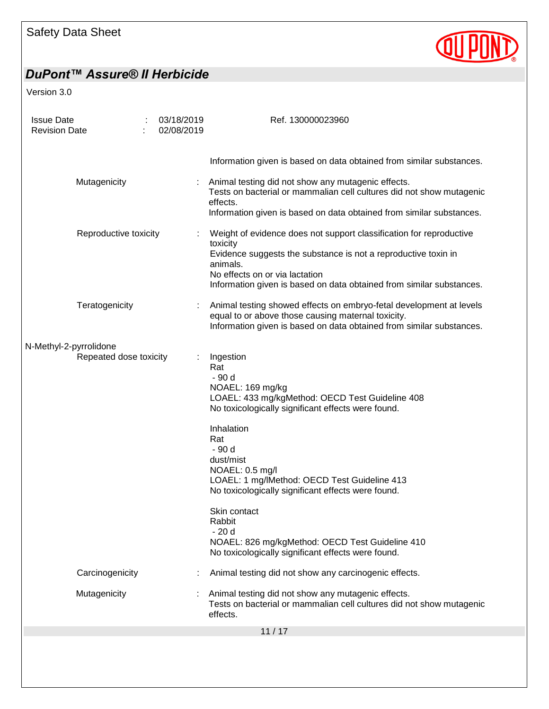

| <b>Issue Date</b><br><b>Revision Date</b> | 03/18/2019<br>02/08/2019 | Ref. 130000023960                                                                                                                                                                                                                                                                                                                                                                                                                                                         |
|-------------------------------------------|--------------------------|---------------------------------------------------------------------------------------------------------------------------------------------------------------------------------------------------------------------------------------------------------------------------------------------------------------------------------------------------------------------------------------------------------------------------------------------------------------------------|
|                                           |                          | Information given is based on data obtained from similar substances.                                                                                                                                                                                                                                                                                                                                                                                                      |
| Mutagenicity                              |                          | Animal testing did not show any mutagenic effects.<br>Tests on bacterial or mammalian cell cultures did not show mutagenic<br>effects.<br>Information given is based on data obtained from similar substances.                                                                                                                                                                                                                                                            |
|                                           | Reproductive toxicity    | Weight of evidence does not support classification for reproductive<br>toxicity<br>Evidence suggests the substance is not a reproductive toxin in<br>animals.<br>No effects on or via lactation<br>Information given is based on data obtained from similar substances.                                                                                                                                                                                                   |
| Teratogenicity                            |                          | Animal testing showed effects on embryo-fetal development at levels<br>equal to or above those causing maternal toxicity.<br>Information given is based on data obtained from similar substances.                                                                                                                                                                                                                                                                         |
| N-Methyl-2-pyrrolidone                    | Repeated dose toxicity   | Ingestion<br>Rat<br>- 90 d<br>NOAEL: 169 mg/kg<br>LOAEL: 433 mg/kgMethod: OECD Test Guideline 408<br>No toxicologically significant effects were found.<br>Inhalation<br>Rat<br>- 90 d<br>dust/mist<br>NOAEL: 0.5 mg/l<br>LOAEL: 1 mg/lMethod: OECD Test Guideline 413<br>No toxicologically significant effects were found.<br>Skin contact<br>Rabbit<br>$-20d$<br>NOAEL: 826 mg/kgMethod: OECD Test Guideline 410<br>No toxicologically significant effects were found. |
| Carcinogenicity                           |                          | Animal testing did not show any carcinogenic effects.                                                                                                                                                                                                                                                                                                                                                                                                                     |
| Mutagenicity                              |                          | Animal testing did not show any mutagenic effects.<br>Tests on bacterial or mammalian cell cultures did not show mutagenic<br>effects.                                                                                                                                                                                                                                                                                                                                    |
|                                           |                          | 11/17                                                                                                                                                                                                                                                                                                                                                                                                                                                                     |
|                                           |                          |                                                                                                                                                                                                                                                                                                                                                                                                                                                                           |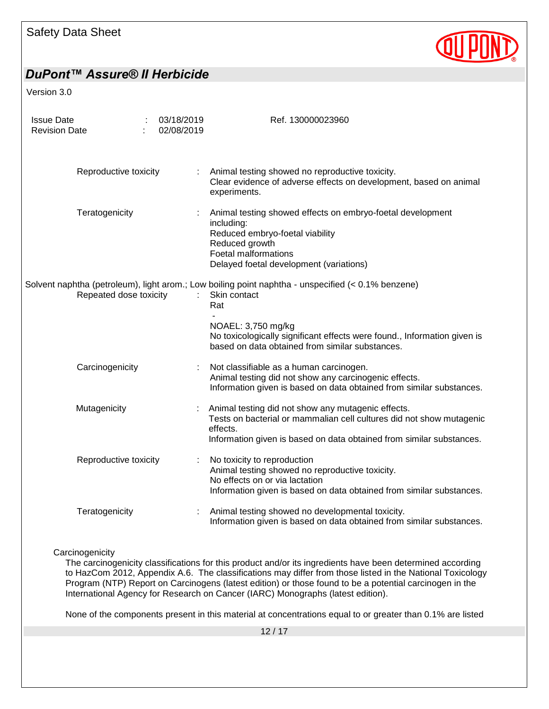## Safety Data Sheet



## *DuPont™ Assure® II Herbicide*

Version 3.0

| <b>Issue Date</b><br><b>Revision Date</b> |                        | 03/18/2019<br>02/08/2019 | Ref. 130000023960                                                                                                                                                                                              |
|-------------------------------------------|------------------------|--------------------------|----------------------------------------------------------------------------------------------------------------------------------------------------------------------------------------------------------------|
|                                           | Reproductive toxicity  | ÷.                       | Animal testing showed no reproductive toxicity.<br>Clear evidence of adverse effects on development, based on animal<br>experiments.                                                                           |
|                                           | Teratogenicity         |                          | Animal testing showed effects on embryo-foetal development<br>including:<br>Reduced embryo-foetal viability<br>Reduced growth<br><b>Foetal malformations</b><br>Delayed foetal development (variations)        |
|                                           | Repeated dose toxicity |                          | Solvent naphtha (petroleum), light arom.; Low boiling point naphtha - unspecified (< 0.1% benzene)<br>Skin contact<br>Rat                                                                                      |
|                                           |                        |                          | NOAEL: 3,750 mg/kg<br>No toxicologically significant effects were found., Information given is<br>based on data obtained from similar substances.                                                              |
|                                           | Carcinogenicity        |                          | Not classifiable as a human carcinogen.<br>Animal testing did not show any carcinogenic effects.<br>Information given is based on data obtained from similar substances.                                       |
| Mutagenicity                              |                        |                          | Animal testing did not show any mutagenic effects.<br>Tests on bacterial or mammalian cell cultures did not show mutagenic<br>effects.<br>Information given is based on data obtained from similar substances. |
|                                           | Reproductive toxicity  | ÷.                       | No toxicity to reproduction<br>Animal testing showed no reproductive toxicity.<br>No effects on or via lactation<br>Information given is based on data obtained from similar substances.                       |
|                                           | Teratogenicity         |                          | Animal testing showed no developmental toxicity.<br>Information given is based on data obtained from similar substances.                                                                                       |

**Carcinogenicity** 

The carcinogenicity classifications for this product and/or its ingredients have been determined according to HazCom 2012, Appendix A.6. The classifications may differ from those listed in the National Toxicology Program (NTP) Report on Carcinogens (latest edition) or those found to be a potential carcinogen in the International Agency for Research on Cancer (IARC) Monographs (latest edition).

None of the components present in this material at concentrations equal to or greater than 0.1% are listed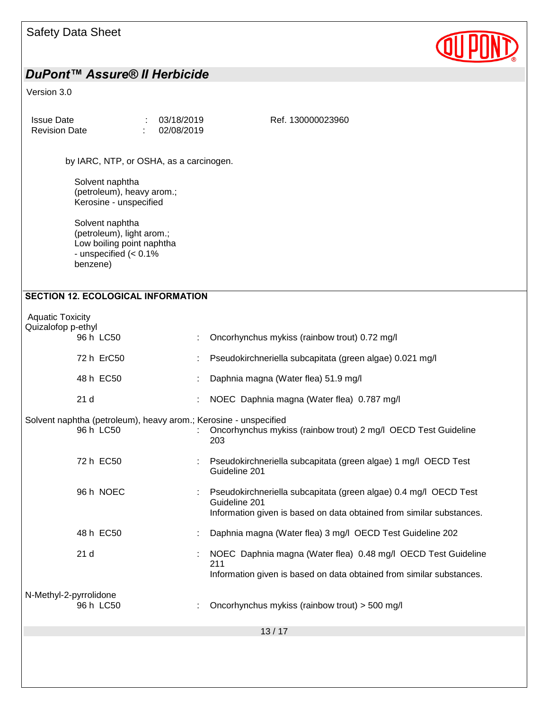| Safety Data Sheet |  |  |
|-------------------|--|--|
|-------------------|--|--|



| <b>Issue Date</b><br><b>Revision Date</b>                                                                       | 03/18/2019<br>02/08/2019 | Ref. 130000023960                                                                                                                                         |
|-----------------------------------------------------------------------------------------------------------------|--------------------------|-----------------------------------------------------------------------------------------------------------------------------------------------------------|
| by IARC, NTP, or OSHA, as a carcinogen.                                                                         |                          |                                                                                                                                                           |
| Solvent naphtha<br>(petroleum), heavy arom.;<br>Kerosine - unspecified                                          |                          |                                                                                                                                                           |
| Solvent naphtha<br>(petroleum), light arom.;<br>Low boiling point naphtha<br>- unspecified $(0.1\%$<br>benzene) |                          |                                                                                                                                                           |
| <b>SECTION 12. ECOLOGICAL INFORMATION</b>                                                                       |                          |                                                                                                                                                           |
| <b>Aquatic Toxicity</b><br>Quizalofop p-ethyl<br>96 h LC50                                                      |                          | Oncorhynchus mykiss (rainbow trout) 0.72 mg/l                                                                                                             |
| 72 h ErC50                                                                                                      | ÷                        | Pseudokirchneriella subcapitata (green algae) 0.021 mg/l                                                                                                  |
| 48 h EC50                                                                                                       |                          | Daphnia magna (Water flea) 51.9 mg/l                                                                                                                      |
| 21 <sub>d</sub>                                                                                                 |                          | NOEC Daphnia magna (Water flea) 0.787 mg/l                                                                                                                |
| Solvent naphtha (petroleum), heavy arom.; Kerosine - unspecified<br>96 h LC50                                   |                          | Oncorhynchus mykiss (rainbow trout) 2 mg/l OECD Test Guideline<br>203                                                                                     |
| 72 h EC50                                                                                                       |                          | Pseudokirchneriella subcapitata (green algae) 1 mg/l OECD Test<br>Guideline 201                                                                           |
| 96 h NOEC                                                                                                       |                          | Pseudokirchneriella subcapitata (green algae) 0.4 mg/l OECD Test<br>Guideline 201<br>Information given is based on data obtained from similar substances. |
| 48 h EC50                                                                                                       |                          | Daphnia magna (Water flea) 3 mg/l OECD Test Guideline 202                                                                                                 |
| 21 <sub>d</sub>                                                                                                 |                          | NOEC Daphnia magna (Water flea) 0.48 mg/l OECD Test Guideline<br>211<br>Information given is based on data obtained from similar substances.              |
| N-Methyl-2-pyrrolidone<br>96 h LC50                                                                             |                          | Oncorhynchus mykiss (rainbow trout) > 500 mg/l                                                                                                            |
|                                                                                                                 |                          | 13/17                                                                                                                                                     |
|                                                                                                                 |                          |                                                                                                                                                           |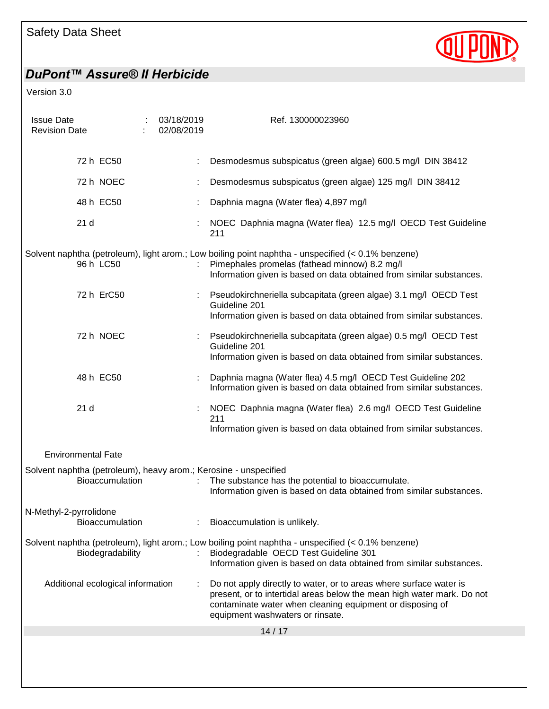

| <b>Issue Date</b><br><b>Revision Date</b> |                                   | ÷ | 03/18/2019<br>02/08/2019 | Ref. 130000023960                                                                                                                                                                                                                             |
|-------------------------------------------|-----------------------------------|---|--------------------------|-----------------------------------------------------------------------------------------------------------------------------------------------------------------------------------------------------------------------------------------------|
|                                           | 72 h EC50                         |   |                          | Desmodesmus subspicatus (green algae) 600.5 mg/l DIN 38412                                                                                                                                                                                    |
|                                           | 72 h NOEC                         |   |                          | Desmodesmus subspicatus (green algae) 125 mg/l DIN 38412                                                                                                                                                                                      |
|                                           | 48 h EC50                         |   |                          | Daphnia magna (Water flea) 4,897 mg/l                                                                                                                                                                                                         |
|                                           | 21 <sub>d</sub>                   |   |                          | NOEC Daphnia magna (Water flea) 12.5 mg/l OECD Test Guideline<br>211                                                                                                                                                                          |
|                                           | 96 h LC50                         |   |                          | Solvent naphtha (petroleum), light arom.; Low boiling point naphtha - unspecified (< 0.1% benzene)<br>Pimephales promelas (fathead minnow) 8.2 mg/l<br>Information given is based on data obtained from similar substances.                   |
|                                           | 72 h ErC50                        |   |                          | Pseudokirchneriella subcapitata (green algae) 3.1 mg/l OECD Test<br>Guideline 201<br>Information given is based on data obtained from similar substances.                                                                                     |
|                                           | 72 h NOEC                         |   |                          | Pseudokirchneriella subcapitata (green algae) 0.5 mg/l OECD Test<br>Guideline 201<br>Information given is based on data obtained from similar substances.                                                                                     |
|                                           | 48 h EC50                         |   |                          | Daphnia magna (Water flea) 4.5 mg/l OECD Test Guideline 202<br>Information given is based on data obtained from similar substances.                                                                                                           |
|                                           | 21 <sub>d</sub>                   |   |                          | NOEC Daphnia magna (Water flea) 2.6 mg/l OECD Test Guideline<br>211<br>Information given is based on data obtained from similar substances.                                                                                                   |
|                                           | <b>Environmental Fate</b>         |   |                          |                                                                                                                                                                                                                                               |
|                                           | Bioaccumulation                   |   |                          | Solvent naphtha (petroleum), heavy arom.; Kerosine - unspecified<br>The substance has the potential to bioaccumulate.<br>Information given is based on data obtained from similar substances.                                                 |
| N-Methyl-2-pyrrolidone                    | Bioaccumulation                   |   |                          | Bioaccumulation is unlikely.                                                                                                                                                                                                                  |
|                                           | Biodegradability                  |   |                          | Solvent naphtha (petroleum), light arom.; Low boiling point naphtha - unspecified (< 0.1% benzene)<br>Biodegradable OECD Test Guideline 301<br>Information given is based on data obtained from similar substances.                           |
|                                           | Additional ecological information |   |                          | Do not apply directly to water, or to areas where surface water is<br>present, or to intertidal areas below the mean high water mark. Do not<br>contaminate water when cleaning equipment or disposing of<br>equipment washwaters or rinsate. |
|                                           |                                   |   |                          | 14/17                                                                                                                                                                                                                                         |
|                                           |                                   |   |                          |                                                                                                                                                                                                                                               |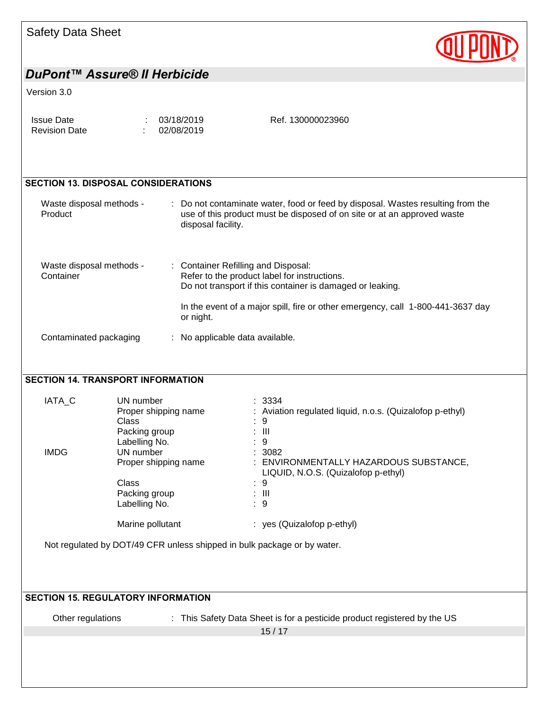

#### Version 3.0

| Issue Date           | : 03/18/2019 | Ref. 130000023960 |
|----------------------|--------------|-------------------|
| <b>Revision Date</b> | 02/08/2019   |                   |

### SECTION 13. DISPOSAL CONSIDERATIONS

| Waste disposal methods -<br>Product   | : Do not contaminate water, food or feed by disposal. Wastes resulting from the<br>use of this product must be disposed of on site or at an approved waste<br>disposal facility.                                                                 |  |
|---------------------------------------|--------------------------------------------------------------------------------------------------------------------------------------------------------------------------------------------------------------------------------------------------|--|
| Waste disposal methods -<br>Container | : Container Refilling and Disposal:<br>Refer to the product label for instructions.<br>Do not transport if this container is damaged or leaking.<br>In the event of a major spill, fire or other emergency, call 1-800-441-3637 day<br>or night. |  |
| Contaminated packaging                | : No applicable data available.                                                                                                                                                                                                                  |  |

### SECTION 14. TRANSPORT INFORMATION

| IATA C      | UN number            | : 3334                                                   |
|-------------|----------------------|----------------------------------------------------------|
|             | Proper shipping name | : Aviation regulated liquid, n.o.s. (Quizalofop p-ethyl) |
|             | Class                | : 9                                                      |
|             | Packing group        | : III                                                    |
|             | Labelling No.        | : 9                                                      |
| <b>IMDG</b> | UN number            | : 3082                                                   |
|             | Proper shipping name | ENVIRONMENTALLY HAZARDOUS SUBSTANCE,                     |
|             |                      | LIQUID, N.O.S. (Quizalofop p-ethyl)                      |
|             | Class                | 9<br>÷                                                   |
|             | Packing group        | : III                                                    |
|             | Labelling No.        | : 9                                                      |
|             | Marine pollutant     | : yes (Quizalofop p-ethyl)                               |

Not regulated by DOT/49 CFR unless shipped in bulk package or by water.

| <b>SECTION 15. REGULATORY INFORMATION</b> |                                                                          |  |  |  |  |
|-------------------------------------------|--------------------------------------------------------------------------|--|--|--|--|
| Other regulations                         | : This Safety Data Sheet is for a pesticide product registered by the US |  |  |  |  |
|                                           | 15/17                                                                    |  |  |  |  |
|                                           |                                                                          |  |  |  |  |
|                                           |                                                                          |  |  |  |  |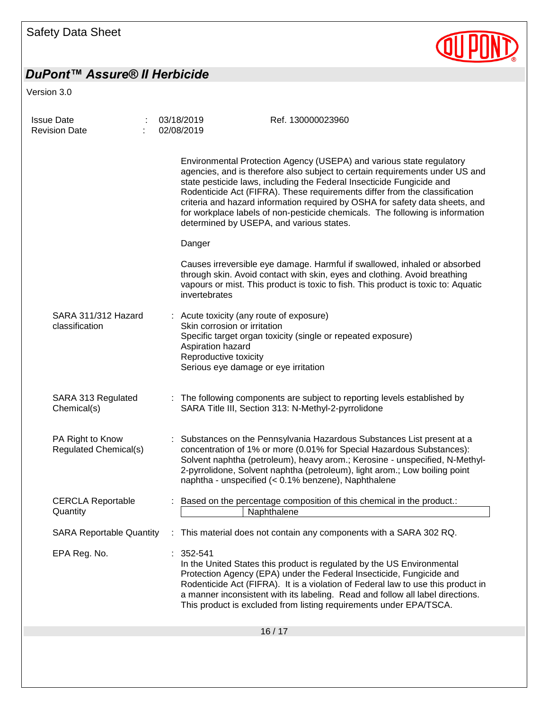

| Issue Date<br>Revision Date               | 03/18/2019<br>02/08/2019                                                                                                                                     | Ref. 130000023960<br>Environmental Protection Agency (USEPA) and various state regulatory<br>agencies, and is therefore also subject to certain requirements under US and<br>state pesticide laws, including the Federal Insecticide Fungicide and<br>Rodenticide Act (FIFRA). These requirements differ from the classification<br>criteria and hazard information required by OSHA for safety data sheets, and<br>for workplace labels of non-pesticide chemicals. The following is information<br>determined by USEPA, and various states. |  |  |  |
|-------------------------------------------|--------------------------------------------------------------------------------------------------------------------------------------------------------------|-----------------------------------------------------------------------------------------------------------------------------------------------------------------------------------------------------------------------------------------------------------------------------------------------------------------------------------------------------------------------------------------------------------------------------------------------------------------------------------------------------------------------------------------------|--|--|--|
|                                           |                                                                                                                                                              |                                                                                                                                                                                                                                                                                                                                                                                                                                                                                                                                               |  |  |  |
|                                           | Danger                                                                                                                                                       |                                                                                                                                                                                                                                                                                                                                                                                                                                                                                                                                               |  |  |  |
|                                           | invertebrates                                                                                                                                                | Causes irreversible eye damage. Harmful if swallowed, inhaled or absorbed<br>through skin. Avoid contact with skin, eyes and clothing. Avoid breathing<br>vapours or mist. This product is toxic to fish. This product is toxic to: Aquatic                                                                                                                                                                                                                                                                                                   |  |  |  |
| SARA 311/312 Hazard<br>classification     | Acute toxicity (any route of exposure)<br>Skin corrosion or irritation<br>Aspiration hazard<br>Reproductive toxicity<br>Serious eye damage or eye irritation | Specific target organ toxicity (single or repeated exposure)                                                                                                                                                                                                                                                                                                                                                                                                                                                                                  |  |  |  |
| SARA 313 Regulated<br>Chemical(s)         |                                                                                                                                                              | : The following components are subject to reporting levels established by<br>SARA Title III, Section 313: N-Methyl-2-pyrrolidone                                                                                                                                                                                                                                                                                                                                                                                                              |  |  |  |
| PA Right to Know<br>Regulated Chemical(s) |                                                                                                                                                              | Substances on the Pennsylvania Hazardous Substances List present at a<br>concentration of 1% or more (0.01% for Special Hazardous Substances):<br>Solvent naphtha (petroleum), heavy arom.; Kerosine - unspecified, N-Methyl-<br>2-pyrrolidone, Solvent naphtha (petroleum), light arom.; Low boiling point<br>naphtha - unspecified (< 0.1% benzene), Naphthalene                                                                                                                                                                            |  |  |  |
| <b>CERCLA Reportable</b><br>Quantity      |                                                                                                                                                              | Based on the percentage composition of this chemical in the product.:<br>Naphthalene                                                                                                                                                                                                                                                                                                                                                                                                                                                          |  |  |  |
| <b>SARA Reportable Quantity</b>           |                                                                                                                                                              | : This material does not contain any components with a SARA 302 RQ.                                                                                                                                                                                                                                                                                                                                                                                                                                                                           |  |  |  |
| EPA Reg. No.                              | 352-541                                                                                                                                                      | In the United States this product is regulated by the US Environmental<br>Protection Agency (EPA) under the Federal Insecticide, Fungicide and<br>Rodenticide Act (FIFRA). It is a violation of Federal law to use this product in<br>a manner inconsistent with its labeling. Read and follow all label directions.<br>This product is excluded from listing requirements under EPA/TSCA.                                                                                                                                                    |  |  |  |
| 16/17                                     |                                                                                                                                                              |                                                                                                                                                                                                                                                                                                                                                                                                                                                                                                                                               |  |  |  |
|                                           |                                                                                                                                                              |                                                                                                                                                                                                                                                                                                                                                                                                                                                                                                                                               |  |  |  |